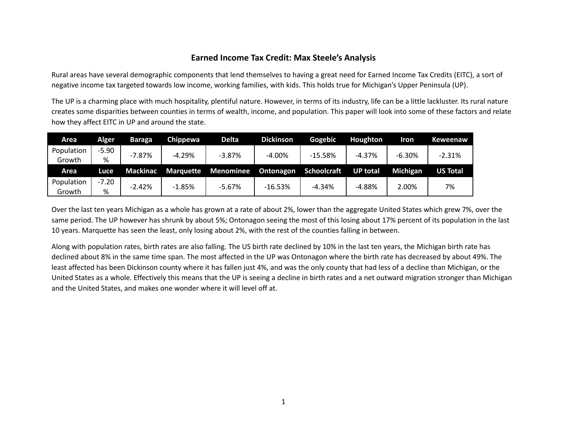## **Earned Income Tax Credit: Max Steele's Analysis**

Rural areas have several demographic components that lend themselves to having a great need for Earned Income Tax Credits (EITC), a sort of negative income tax targeted towards low income, working families, with kids. This holds true for Michigan's Upper Peninsula (UP).

The UP is a charming place with much hospitality, plentiful nature. However, in terms of its industry, life can be a little lackluster. Its rural nature creates some disparities between counties in terms of wealth, income, and population. This paper will look into some of these factors and relate how they affect EITC in UP and around the state.

| Area       | Alger   | Baraga          | Chippewa         | Delta <sub>r</sub> | <b>Dickinson</b> | Gogebic     | Houghton        | <b>Iron</b> | <b>Keweenaw</b> |
|------------|---------|-----------------|------------------|--------------------|------------------|-------------|-----------------|-------------|-----------------|
| Population | $-5.90$ | $-7.87%$        | $-4.29%$         | $-3.87%$           | $-4.00%$         | $-15.58%$   | $-4.37%$        | $-6.30%$    | $-2.31%$        |
| Growth     | %       |                 |                  |                    |                  |             |                 |             |                 |
|            |         |                 |                  |                    |                  |             |                 |             |                 |
| Area       | Luce    | <b>Mackinac</b> | <b>Marquette</b> | <b>Menominee</b>   | <b>Ontonagon</b> | Schoolcraft | <b>UP total</b> | Michigan    | <b>US Total</b> |
| Population | $-7.20$ | $-2.42%$        | $-1.85%$         | -5.67%             | $-16.53%$        | $-4.34%$    | $-4.88%$        | 2.00%       | 7%              |

Over the last ten years Michigan as a whole has grown at a rate of about 2%, lower than the aggregate United States which grew 7%, over the same period. The UP however has shrunk by about 5%; Ontonagon seeing the most of this losing about 17% percent of its population in the last 10 years. Marquette has seen the least, only losing about 2%, with the rest of the counties falling in between.

Along with population rates, birth rates are also falling. The US birth rate declined by 10% in the last ten years, the Michigan birth rate has declined about 8% in the same time span. The most affected in the UP was Ontonagon where the birth rate has decreased by about 49%. The least affected has been Dickinson county where it has fallen just 4%, and was the only county that had less of a decline than Michigan, or the United States as a whole. Effectively this means that the UP is seeing a decline in birth rates and a net outward migration stronger than Michigan and the United States, and makes one wonder where it will level off at.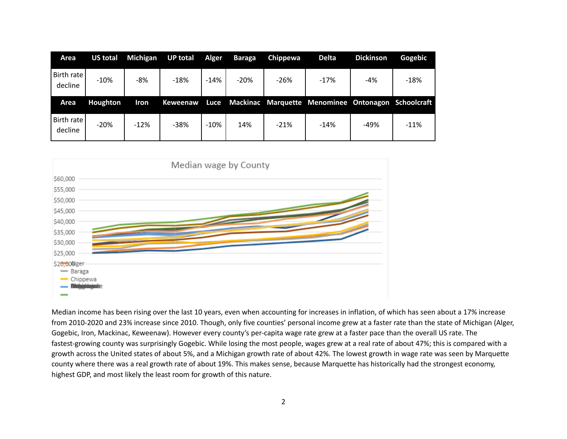| Area                    | <b>US total</b> | Michigan    | <b>UP total</b> | Alger  | <b>Baraga</b> | Chippewa | <b>Delta</b>                                       | <b>Dickinson</b> | Gogebic |
|-------------------------|-----------------|-------------|-----------------|--------|---------------|----------|----------------------------------------------------|------------------|---------|
| Birth rate  <br>decline | $-10%$          | -8%         | $-18%$          | $-14%$ | $-20%$        | $-26%$   | $-17%$                                             | $-4%$            | $-18%$  |
|                         |                 |             |                 |        |               |          |                                                    |                  |         |
| <b>Area</b>             | Houghton        | <b>Iron</b> | Keweenaw        | Luce   |               |          | Mackinac Marquette Menominee Ontonagon Schoolcraft |                  |         |



Median income has been rising over the last 10 years, even when accounting for increases in inflation, of which has seen about a 17% increase from 2010-2020 and 23% increase since 2010. Though, only five counties' personal income grew at a faster rate than the state of Michigan (Alger, Gogebic, Iron, Mackinac, Keweenaw). However every county's per-capita wage rate grew at a faster pace than the overall US rate. The fastest-growing county was surprisingly Gogebic. While losing the most people, wages grew at a real rate of about 47%; this is compared with a growth across the United states of about 5%, and a Michigan growth rate of about 42%. The lowest growth in wage rate was seen by Marquette county where there was a real growth rate of about 19%. This makes sense, because Marquette has historically had the strongest economy, highest GDP, and most likely the least room for growth of this nature.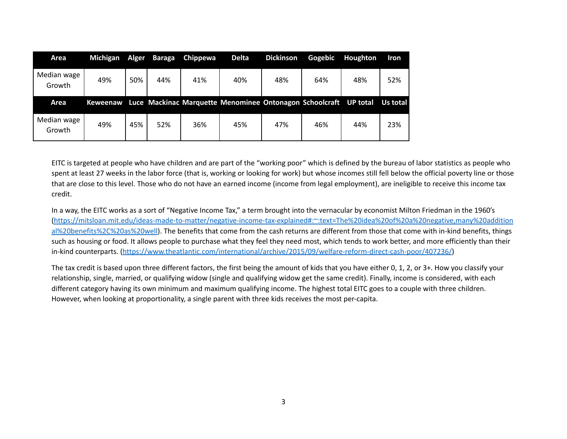| Area                  | Michigan        | Alger | Baraga | <b>Chippewa</b> | <b>Delta</b>                                                     | <b>Dickinson</b> | Gogebic | Houghton | <b>Iron</b> |
|-----------------------|-----------------|-------|--------|-----------------|------------------------------------------------------------------|------------------|---------|----------|-------------|
| Median wage<br>Growth | 49%             | 50%   | 44%    | 41%             | 40%                                                              | 48%              | 64%     | 48%      | 52%         |
|                       |                 |       |        |                 |                                                                  |                  |         |          |             |
| Area                  | <b>Keweenaw</b> |       |        |                 | Luce Mackinac Marquette Menominee Ontonagon Schoolcraft UP total |                  |         |          | Us total    |

EITC is targeted at people who have children and are part of the "working poor" which is defined by the bureau of labor statistics as people who spent at least 27 weeks in the labor force (that is, working or looking for work) but whose incomes still fell below the official poverty line or those that are close to this level. Those who do not have an earned income (income from legal employment), are ineligible to receive this income tax credit.

In a way, the EITC works as a sort of "Negative Income Tax," a term brought into the vernacular by economist Milton Friedman in the 1960's [\(https://mitsloan.mit.edu/ideas-made-to-matter/negative-income-tax-explained#:~:text=The%20idea%20of%20a%20negative,many%20addition](https://mitsloan.mit.edu/ideas-made-to-matter/negative-income-tax-explained#:~:text=The%20idea%20of%20a%20negative,many%20additional%20benefits%2C%20as%20well) [al%20benefits%2C%20as%20well](https://mitsloan.mit.edu/ideas-made-to-matter/negative-income-tax-explained#:~:text=The%20idea%20of%20a%20negative,many%20additional%20benefits%2C%20as%20well)). The benefits that come from the cash returns are different from those that come with in-kind benefits, things such as housing or food. It allows people to purchase what they feel they need most, which tends to work better, and more efficiently than their in-kind counterparts. [\(https://www.theatlantic.com/international/archive/2015/09/welfare-reform-direct-cash-poor/407236/](https://www.theatlantic.com/international/archive/2015/09/welfare-reform-direct-cash-poor/407236/))

The tax credit is based upon three different factors, the first being the amount of kids that you have either 0, 1, 2, or 3+. How you classify your relationship, single, married, or qualifying widow (single and qualifying widow get the same credit). Finally, income is considered, with each different category having its own minimum and maximum qualifying income. The highest total EITC goes to a couple with three children. However, when looking at proportionality, a single parent with three kids receives the most per-capita.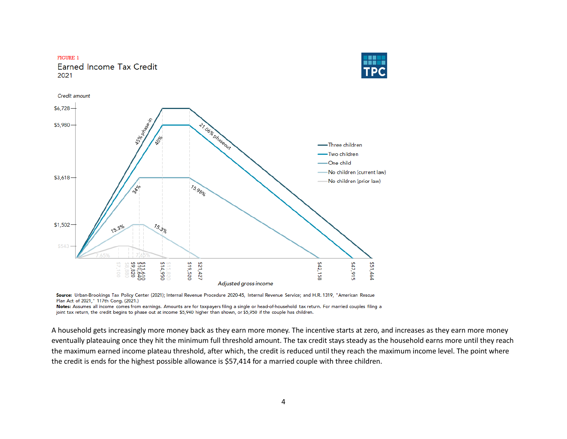

Source: Urban-Brookings Tax Policy Center (2021); Internal Revenue Procedure 2020-45, Internal Revenue Service; and H.R. 1319, "American Rescue Plan Act of 2021," 117th Cong. (2021.)

Notes: Assumes all income comes from earnings. Amounts are for taxpayers filing a single or head-of-household tax return. For married couples filing a joint tax return, the credit begins to phase out at income \$5,940 higher than shown, or \$5,950 if the couple has children.

A household gets increasingly more money back as they earn more money. The incentive starts at zero, and increases as they earn more money eventually plateauing once they hit the minimum full threshold amount. The tax credit stays steady as the household earns more until they reach the maximum earned income plateau threshold, after which, the credit is reduced until they reach the maximum income level. The point where the credit is ends for the highest possible allowance is \$57,414 for a married couple with three children.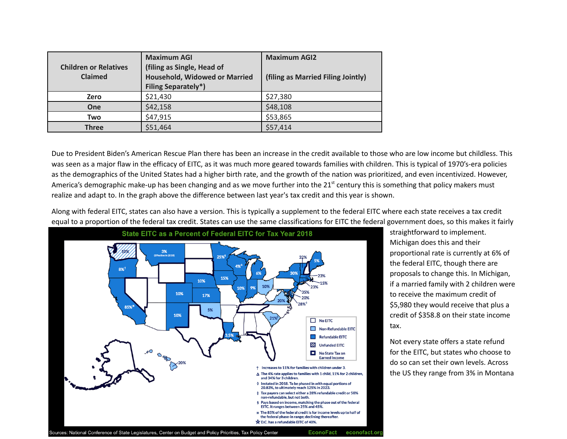| <b>Children or Relatives</b><br><b>Claimed</b> | <b>Maximum AGI</b><br>(filing as Single, Head of<br>Household, Widowed or Married<br><b>Filing Separately*)</b> | <b>Maximum AGI2</b><br>(filing as Married Filing Jointly) |
|------------------------------------------------|-----------------------------------------------------------------------------------------------------------------|-----------------------------------------------------------|
| Zero                                           | \$21,430                                                                                                        | \$27,380                                                  |
| <b>One</b>                                     | \$42,158                                                                                                        | \$48,108                                                  |
| Two                                            | \$47,915                                                                                                        | \$53,865                                                  |
| <b>Three</b>                                   | \$51,464                                                                                                        | \$57,414                                                  |

Due to President Biden's American Rescue Plan there has been an increase in the credit available to those who are low income but childless. This was seen as a major flaw in the efficacy of EITC, as it was much more geared towards families with children. This is typical of 1970's-era policies as the demographics of the United States had a higher birth rate, and the growth of the nation was prioritized, and even incentivized. However, America's demographic make-up has been changing and as we move further into the 21<sup>st</sup> century this is something that policy makers must realize and adapt to. In the graph above the difference between last year's tax credit and this year is shown.

Along with federal EITC, states can also have a version. This is typically a supplement to the federal EITC where each state receives a tax credit equal to a proportion of the federal tax credit. States can use the same classifications for EITC the federal government does, so this makes it fairly



straightforward to implement. Michigan does this and their proportional rate is currently at 6% of the federal EITC, though there are proposals to change this. In Michigan, if a married family with 2 children were to receive the maximum credit of \$5,980 they would receive that plus a credit of \$358.8 on their state income tax.

Not every state offers a state refund for the EITC, but states who choose to do so can set their own levels. Across the US they range from 3% in Montana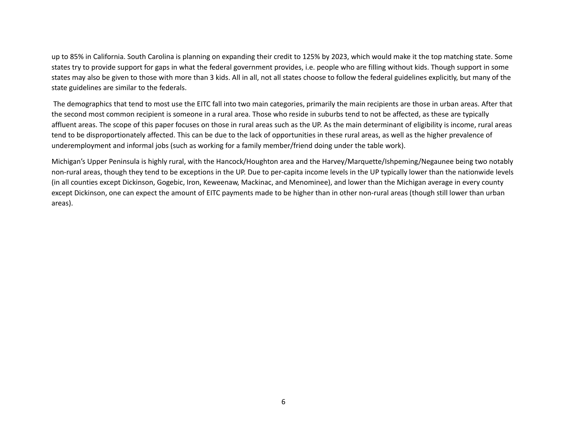up to 85% in California. South Carolina is planning on expanding their credit to 125% by 2023, which would make it the top matching state. Some states try to provide support for gaps in what the federal government provides, i.e. people who are filling without kids. Though support in some states may also be given to those with more than 3 kids. All in all, not all states choose to follow the federal guidelines explicitly, but many of the state guidelines are similar to the federals.

The demographics that tend to most use the EITC fall into two main categories, primarily the main recipients are those in urban areas. After that the second most common recipient is someone in a rural area. Those who reside in suburbs tend to not be affected, as these are typically affluent areas. The scope of this paper focuses on those in rural areas such as the UP. As the main determinant of eligibility is income, rural areas tend to be disproportionately affected. This can be due to the lack of opportunities in these rural areas, as well as the higher prevalence of underemployment and informal jobs (such as working for a family member/friend doing under the table work).

Michigan's Upper Peninsula is highly rural, with the Hancock/Houghton area and the Harvey/Marquette/Ishpeming/Negaunee being two notably non-rural areas, though they tend to be exceptions in the UP. Due to per-capita income levels in the UP typically lower than the nationwide levels (in all counties except Dickinson, Gogebic, Iron, Keweenaw, Mackinac, and Menominee), and lower than the Michigan average in every county except Dickinson, one can expect the amount of EITC payments made to be higher than in other non-rural areas (though still lower than urban areas).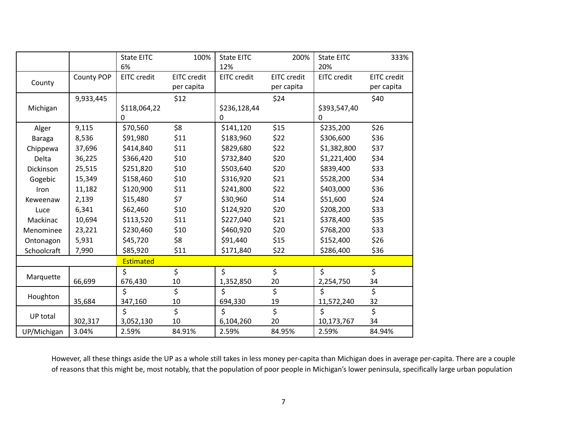|               |            | <b>State EITC</b>       | 100%               | <b>State EITC</b>  | 200%               | <b>State EITC</b>  | 333%               |
|---------------|------------|-------------------------|--------------------|--------------------|--------------------|--------------------|--------------------|
|               |            | 6%                      |                    | 12%                |                    | 20%                |                    |
|               | County POP | EITC credit             | <b>EITC</b> credit | <b>EITC</b> credit | <b>EITC</b> credit | <b>EITC</b> credit | <b>EITC</b> credit |
| County        |            |                         | per capita         |                    | per capita         |                    | per capita         |
|               | 9,933,445  |                         | \$12               |                    | \$24               |                    | \$40               |
| Michigan      |            | \$118,064,22            |                    | \$236,128,44       |                    | \$393,547,40       |                    |
|               |            | 0                       |                    | 0                  |                    | 0                  |                    |
| Alger         | 9,115      | \$70,560                | \$8                | \$141,120          | \$15               | \$235,200          | \$26               |
| <b>Baraga</b> | 8,536      | \$91,980                | \$11               | \$183,960          | \$22               | \$306,600          | \$36               |
| Chippewa      | 37,696     | \$414,840               | \$11               | \$829,680          | \$22               | \$1,382,800        | \$37               |
| Delta         | 36,225     | \$366,420               | \$10               | \$732,840          | \$20               | \$1,221,400        | \$34               |
| Dickinson     | 25,515     | \$251,820               | \$10               | \$503,640          | \$20               | \$839,400          | \$33               |
| Gogebic       | 15,349     | \$158,460               | \$10               | \$316,920          | \$21               | \$528,200          | \$34               |
| Iron          | 11,182     | \$120,900               | \$11               | \$241,800          | \$22               | \$403,000          | \$36               |
| Keweenaw      | 2,139      | \$15,480                | \$7                | \$30,960           | \$14               | \$51,600           | \$24               |
| Luce          | 6,341      | \$62,460                | \$10               | \$124,920          | \$20               | \$208,200          | \$33               |
| Mackinac      | 10,694     | \$113,520               | \$11               | \$227,040          | \$21               | \$378,400          | \$35               |
| Menominee     | 23,221     | \$230,460               | \$10               | \$460,920          | \$20               | \$768,200          | \$33               |
| Ontonagon     | 5,931      | \$45,720                | \$8                | \$91,440           | \$15               | \$152,400          | \$26               |
| Schoolcraft   | 7,990      | \$85,920                | \$11               | \$171,840          | \$22               | \$286,400          | \$36               |
|               |            | Estimated               |                    |                    |                    |                    |                    |
|               |            | \$                      | \$                 | \$                 | \$                 | \$                 | \$                 |
| Marquette     | 66,699     | 676,430                 | 10                 | 1,352,850          | 20                 | 2,254,750          | 34                 |
| Houghton      |            | \$                      | \$                 | \$                 | \$                 | \$                 | \$                 |
|               | 35,684     | 347,160                 | 10                 | 694,330            | 19                 | 11,572,240         | 32                 |
| UP total      |            | $\overline{\mathsf{S}}$ | \$                 | \$                 | \$                 | $\mathsf{\dot{S}}$ | \$                 |
|               | 302,317    | 3,052,130               | 10                 | 6,104,260          | 20                 | 10,173,767         | 34                 |
| UP/Michigan   | 3.04%      | 2.59%                   | 84.91%             | 2.59%              | 84.95%             | 2.59%              | 84.94%             |

However, all these things aside the UP as a whole still takes in less money per-capita than Michigan does in average per-capita. There are a couple of reasons that this might be, most notably, that the population of poor people in Michigan's lower peninsula, specifically large urban population